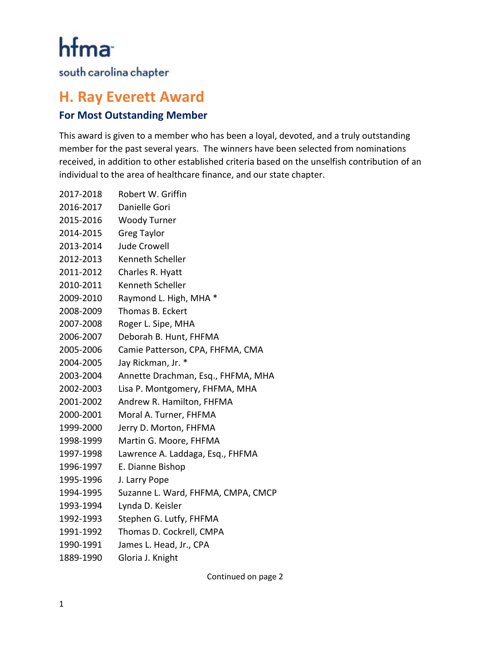hfma

south carolina chapter

## **H. Ray Everett Award**

## **For Most Outstanding Member**

This award is given to a member who has been a loyal, devoted, and a truly outstanding member for the past several years. The winners have been selected from nominations received, in addition to other established criteria based on the unselfish contribution of an individual to the area of healthcare finance, and our state chapter.

| 2017-2018 | Robert W. Griffin                  |
|-----------|------------------------------------|
| 2016-2017 | Danielle Gori                      |
| 2015-2016 | <b>Woody Turner</b>                |
| 2014-2015 | <b>Greg Taylor</b>                 |
| 2013-2014 | <b>Jude Crowell</b>                |
| 2012-2013 | Kenneth Scheller                   |
| 2011-2012 | Charles R. Hyatt                   |
| 2010-2011 | Kenneth Scheller                   |
| 2009-2010 | Raymond L. High, MHA *             |
| 2008-2009 | Thomas B. Eckert                   |
| 2007-2008 | Roger L. Sipe, MHA                 |
| 2006-2007 | Deborah B. Hunt, FHFMA             |
| 2005-2006 | Camie Patterson, CPA, FHFMA, CMA   |
| 2004-2005 | Jay Rickman, Jr. *                 |
| 2003-2004 | Annette Drachman, Esq., FHFMA, MHA |
| 2002-2003 | Lisa P. Montgomery, FHFMA, MHA     |
| 2001-2002 | Andrew R. Hamilton, FHFMA          |
| 2000-2001 | Moral A. Turner, FHFMA             |
| 1999-2000 | Jerry D. Morton, FHFMA             |
| 1998-1999 | Martin G. Moore, FHFMA             |
| 1997-1998 | Lawrence A. Laddaga, Esq., FHFMA   |
| 1996-1997 | E. Dianne Bishop                   |
| 1995-1996 | J. Larry Pope                      |
| 1994-1995 | Suzanne L. Ward, FHFMA, CMPA, CMCP |
| 1993-1994 | Lynda D. Keisler                   |
| 1992-1993 | Stephen G. Lutfy, FHFMA            |
| 1991-1992 | Thomas D. Cockrell, CMPA           |
| 1990-1991 | James L. Head, Jr., CPA            |
| 1889-1990 | Gloria J. Knight                   |

Continued on page 2